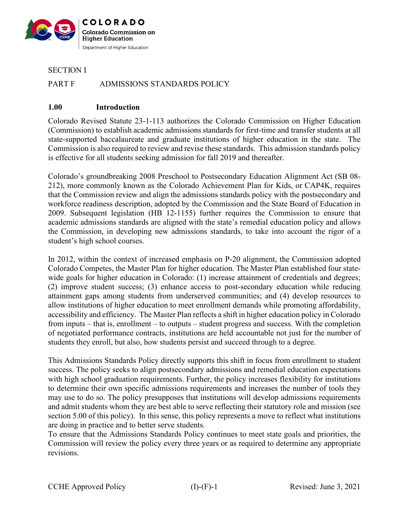

SECTION I

## PART F ADMISSIONS STANDARDS POLICY

#### **1.00 Introduction**

Colorado Revised Statute 23-1-113 authorizes the Colorado Commission on Higher Education (Commission) to establish academic admissions standards for first-time and transfer students at all state-supported baccalaureate and graduate institutions of higher education in the state. The Commission is also required to review and revise these standards. This admission standards policy is effective for all students seeking admission for fall 2019 and thereafter.

Colorado's groundbreaking 2008 Preschool to Postsecondary Education Alignment Act (SB 08- 212), more commonly known as the Colorado Achievement Plan for Kids, or CAP4K, requires that the Commission review and align the admissions standards policy with the postsecondary and workforce readiness description, adopted by the Commission and the State Board of Education in 2009. Subsequent legislation (HB 12-1155) further requires the Commission to ensure that academic admissions standards are aligned with the state's remedial education policy and allows the Commission, in developing new admissions standards, to take into account the rigor of a student's high school courses.

In 2012, within the context of increased emphasis on P-20 alignment, the Commission adopted Colorado Competes, the Master Plan for higher education. The Master Plan established four statewide goals for higher education in Colorado: (1) increase attainment of credentials and degrees; (2) improve student success; (3) enhance access to post-secondary education while reducing attainment gaps among students from underserved communities; and (4) develop resources to allow institutions of higher education to meet enrollment demands while promoting affordability, accessibility and efficiency. The Master Plan reflects a shift in higher education policy in Colorado from inputs – that is, enrollment – to outputs – student progress and success. With the completion of negotiated performance contracts, institutions are held accountable not just for the number of students they enroll, but also, how students persist and succeed through to a degree.

This Admissions Standards Policy directly supports this shift in focus from enrollment to student success. The policy seeks to align postsecondary admissions and remedial education expectations with high school graduation requirements. Further, the policy increases flexibility for institutions to determine their own specific admissions requirements and increases the number of tools they may use to do so. The policy presupposes that institutions will develop admissions requirements and admit students whom they are best able to serve reflecting their statutory role and mission (see section 5.00 of this policy). In this sense, this policy represents a move to reflect what institutions are doing in practice and to better serve students.

To ensure that the Admissions Standards Policy continues to meet state goals and priorities, the Commission will review the policy every three years or as required to determine any appropriate revisions.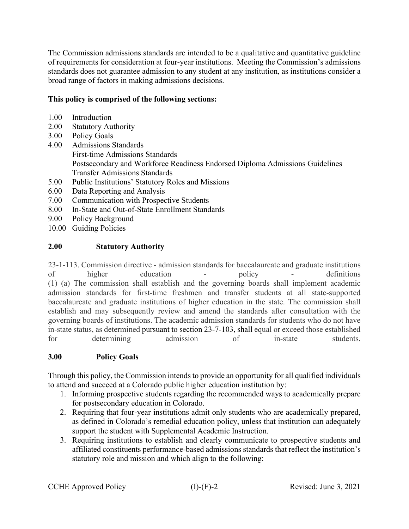The Commission admissions standards are intended to be a qualitative and quantitative guideline of requirements for consideration at four-year institutions. Meeting the Commission's admissions standards does not guarantee admission to any student at any institution, as institutions consider a broad range of factors in making admissions decisions.

# **This policy is comprised of the following sections:**

- 1.00 Introduction
- 2.00 Statutory Authority
- 3.00 Policy Goals
- 4.00 Admissions Standards First-time Admissions Standards Postsecondary and Workforce Readiness Endorsed Diploma Admissions Guidelines Transfer Admissions Standards
- 5.00 Public Institutions' Statutory Roles and Missions
- 6.00 Data Reporting and Analysis
- 7.00 Communication with Prospective Students
- 8.00 In-State and Out-of-State Enrollment Standards
- 9.00 Policy Background
- 10.00 Guiding Policies

# **2.00 Statutory Authority**

23-1-113. Commission directive - admission standards for baccalaureate and graduate institutions of higher education - policy - definitions (1) (a) The commission shall establish and the governing boards shall implement academic admission standards for first-time freshmen and transfer students at all state-supported baccalaureate and graduate institutions of higher education in the state. The commission shall establish and may subsequently review and amend the standards after consultation with the governing boards of institutions. The academic admission standards for students who do not have in-state status, as determined pursuant to [section 23-7-103,](http://web.lexisnexis.com/research/buttonTFLink?_m=8f3620ae3a25e6dae834055cdd9a6344&_xfercite=%3ccite%20cc%3d%22USA%22%3e%3c%21%5bCDATA%5bC.R.S.%2023-1-113%5d%5d%3e%3c%2fcite%3e&_butType=4&_butStat=0&_butNum=2&_butInline=1&_butinfo=COCODE%2023-7-103&_fmtstr=FULL&docnum=1&_startdoc=1&wchp=dGLbVzt-zSkAb&_md5=3e9283da3f005150ed4b98605c6718c9) shall equal or exceed those established for determining admission of in-state students.

# **3.00 Policy Goals**

Through this policy, the Commission intends to provide an opportunity for all qualified individuals to attend and succeed at a Colorado public higher education institution by:

- 1. Informing prospective students regarding the recommended ways to academically prepare for postsecondary education in Colorado.
- 2. Requiring that four-year institutions admit only students who are academically prepared, as defined in Colorado's remedial education policy, unless that institution can adequately support the student with Supplemental Academic Instruction.
- 3. Requiring institutions to establish and clearly communicate to prospective students and affiliated constituents performance-based admissions standards that reflect the institution's statutory role and mission and which align to the following: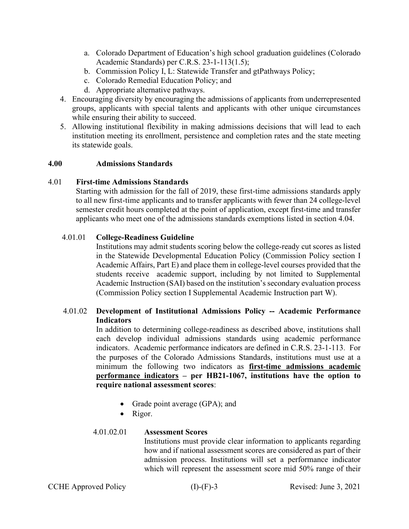- a. Colorado Department of Education's high school graduation guidelines (Colorado Academic Standards) per C.R.S. 23-1-113(1.5);
- b. Commission Policy I, L: Statewide Transfer and gtPathways Policy;
- c. Colorado Remedial Education Policy; and
- d. Appropriate alternative pathways.
- 4. Encouraging diversity by encouraging the admissions of applicants from underrepresented groups, applicants with special talents and applicants with other unique circumstances while ensuring their ability to succeed.
- 5. Allowing institutional flexibility in making admissions decisions that will lead to each institution meeting its enrollment, persistence and completion rates and the state meeting its statewide goals.

### **4.00 Admissions Standards**

### 4.01 **First-time Admissions Standards**

Starting with admission for the fall of 2019, these first-time admissions standards apply to all new first-time applicants and to transfer applicants with fewer than 24 college-level semester credit hours completed at the point of application, except first-time and transfer applicants who meet one of the admissions standards exemptions listed in section 4.04.

### 4.01.01 **College-Readiness Guideline**

Institutions may admit students scoring below the college-ready cut scores as listed in the Statewide Developmental Education Policy (Commission Policy section I Academic Affairs, Part E) and place them in college-level courses provided that the students receive academic support, including by not limited to Supplemental Academic Instruction (SAI) based on the institution's secondary evaluation process (Commission Policy section I Supplemental Academic Instruction part W).

# 4.01.02 **Development of Institutional Admissions Policy -- Academic Performance Indicators**

In addition to determining college-readiness as described above, institutions shall each develop individual admissions standards using academic performance indicators. Academic performance indicators are defined in C.R.S. 23-1-113. For the purposes of the Colorado Admissions Standards, institutions must use at a minimum the following two indicators as **first-time admissions academic performance indicators – per HB21-1067, institutions have the option to require national assessment scores**:

- Grade point average (GPA); and
- Rigor.

### 4.01.02.01 **Assessment Scores**

Institutions must provide clear information to applicants regarding how and if national assessment scores are considered as part of their admission process. Institutions will set a performance indicator which will represent the assessment score mid 50% range of their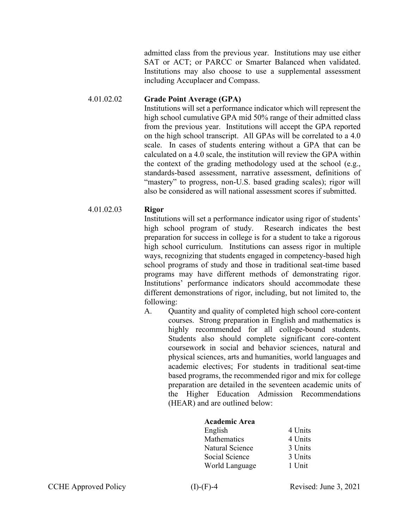admitted class from the previous year. Institutions may use either SAT or ACT; or PARCC or Smarter Balanced when validated. Institutions may also choose to use a supplemental assessment including Accuplacer and Compass.

#### 4.01.02.02 **Grade Point Average (GPA)**

Institutions will set a performance indicator which will represent the high school cumulative GPA mid 50% range of their admitted class from the previous year. Institutions will accept the GPA reported on the high school transcript. All GPAs will be correlated to a 4.0 scale. In cases of students entering without a GPA that can be calculated on a 4.0 scale, the institution will review the GPA within the context of the grading methodology used at the school (e.g., standards-based assessment, narrative assessment, definitions of "mastery" to progress, non-U.S. based grading scales); rigor will also be considered as will national assessment scores if submitted.

#### 4.01.02.03 **Rigor**

Institutions will set a performance indicator using rigor of students' high school program of study. Research indicates the best preparation for success in college is for a student to take a rigorous high school curriculum. Institutions can assess rigor in multiple ways, recognizing that students engaged in competency-based high school programs of study and those in traditional seat-time based programs may have different methods of demonstrating rigor. Institutions' performance indicators should accommodate these different demonstrations of rigor, including, but not limited to, the following:

A. Quantity and quality of completed high school core-content courses. Strong preparation in English and mathematics is highly recommended for all college-bound students. Students also should complete significant core-content coursework in social and behavior sciences, natural and physical sciences, arts and humanities, world languages and academic electives; For students in traditional seat-time based programs, the recommended rigor and mix for college preparation are detailed in the seventeen academic units of the Higher Education Admission Recommendations (HEAR) and are outlined below:

### **Academic Area**

| English         | 4 Units |
|-----------------|---------|
| Mathematics     | 4 Units |
| Natural Science | 3 Units |
| Social Science  | 3 Units |
| World Language  | 1 Unit  |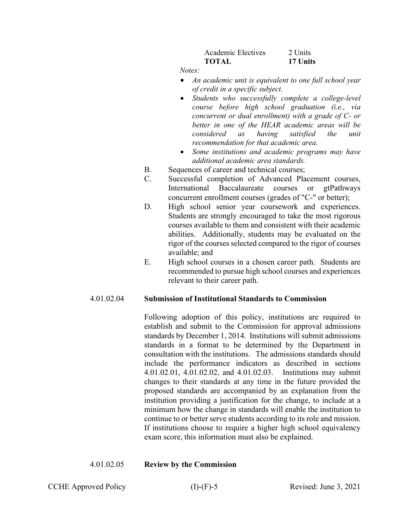| Academic Electives | 2. Units |
|--------------------|----------|
| <b>TOTAL</b>       | 17 Units |

 *Notes:* 

- *An academic unit is equivalent to one full school year of credit in a specific subject.*
- *Students who successfully complete a college-level course before high school graduation (i.e., via concurrent or dual enrollment) with a grade of C- or better in one of the HEAR academic areas will be considered as having satisfied the unit recommendation for that academic area.*
- *Some institutions and academic programs may have additional academic area standards.*
- B. Sequences of career and technical courses;
- C. Successful completion of Advanced Placement courses, International Baccalaureate courses or gtPathways concurrent enrollment courses (grades of "C-" or better);
- D. High school senior year coursework and experiences. Students are strongly encouraged to take the most rigorous courses available to them and consistent with their academic abilities. Additionally, students may be evaluated on the rigor of the courses selected compared to the rigor of courses available; and
- E. High school courses in a chosen career path. Students are recommended to pursue high school courses and experiences relevant to their career path.

### 4.01.02.04 **Submission of Institutional Standards to Commission**

Following adoption of this policy, institutions are required to establish and submit to the Commission for approval admissions standards by December 1, 2014. Institutions will submit admissions standards in a format to be determined by the Department in consultation with the institutions. The admissions standards should include the performance indicators as described in sections 4.01.02.01, 4.01.02.02, and 4.01.02.03. Institutions may submit changes to their standards at any time in the future provided the proposed standards are accompanied by an explanation from the institution providing a justification for the change, to include at a minimum how the change in standards will enable the institution to continue to or better serve students according to its role and mission. If institutions choose to require a higher high school equivalency exam score, this information must also be explained.

### 4.01.02.05 **Review by the Commission**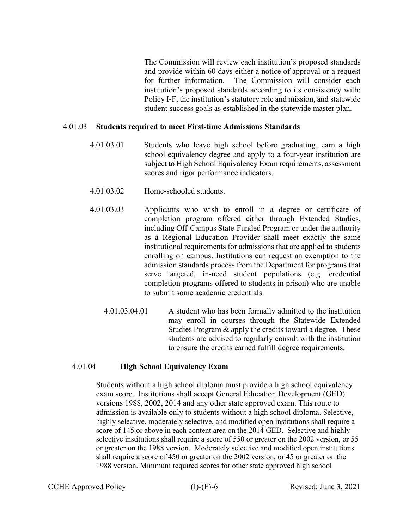The Commission will review each institution's proposed standards and provide within 60 days either a notice of approval or a request for further information. The Commission will consider each institution's proposed standards according to its consistency with: Policy I-F, the institution's statutory role and mission, and statewide student success goals as established in the statewide master plan.

#### 4.01.03 **Students required to meet First-time Admissions Standards**

- 4.01.03.01 Students who leave high school before graduating, earn a high school equivalency degree and apply to a four-year institution are subject to High School Equivalency Exam requirements, assessment scores and rigor performance indicators.
- 4.01.03.02 Home-schooled students.
- 4.01.03.03 Applicants who wish to enroll in a degree or certificate of completion program offered either through Extended Studies, including Off-Campus State-Funded Program or under the authority as a Regional Education Provider shall meet exactly the same institutional requirements for admissions that are applied to students enrolling on campus. Institutions can request an exemption to the admission standards process from the Department for programs that serve targeted, in-need student populations (e.g. credential completion programs offered to students in prison) who are unable to submit some academic credentials.
	- 4.01.03.04.01 A student who has been formally admitted to the institution may enroll in courses through the Statewide Extended Studies Program & apply the credits toward a degree. These students are advised to regularly consult with the institution to ensure the credits earned fulfill degree requirements.

#### 4.01.04 **High School Equivalency Exam**

Students without a high school diploma must provide a high school equivalency exam score. Institutions shall accept General Education Development (GED) versions 1988, 2002, 2014 and any other state approved exam. This route to admission is available only to students without a high school diploma. Selective, highly selective, moderately selective, and modified open institutions shall require a score of 145 or above in each content area on the 2014 GED. Selective and highly selective institutions shall require a score of 550 or greater on the 2002 version, or 55 or greater on the 1988 version. Moderately selective and modified open institutions shall require a score of 450 or greater on the 2002 version, or 45 or greater on the 1988 version. Minimum required scores for other state approved high school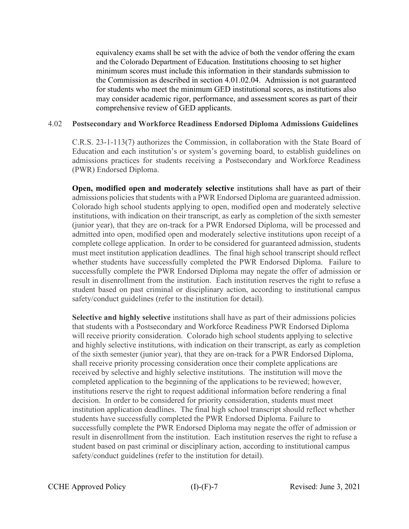equivalency exams shall be set with the advice of both the vendor offering the exam and the Colorado Department of Education. Institutions choosing to set higher minimum scores must include this information in their standards submission to the Commission as described in section 4.01.02.04. Admission is not guaranteed for students who meet the minimum GED institutional scores, as institutions also may consider academic rigor, performance, and assessment scores as part of their comprehensive review of GED applicants.

#### 4.02 **Postsecondary and Workforce Readiness Endorsed Diploma Admissions Guidelines**

C.R.S. 23-1-113(7) authorizes the Commission, in collaboration with the State Board of Education and each institution's or system's governing board, to establish guidelines on admissions practices for students receiving a Postsecondary and Workforce Readiness (PWR) Endorsed Diploma.

**Open, modified open and moderately selective** institutions shall have as part of their admissions policies that students with a PWR Endorsed Diploma are guaranteed admission. Colorado high school students applying to open, modified open and moderately selective institutions, with indication on their transcript, as early as completion of the sixth semester (junior year), that they are on-track for a PWR Endorsed Diploma, will be processed and admitted into open, modified open and moderately selective institutions upon receipt of a complete college application. In order to be considered for guaranteed admission, students must meet institution application deadlines. The final high school transcript should reflect whether students have successfully completed the PWR Endorsed Diploma. Failure to successfully complete the PWR Endorsed Diploma may negate the offer of admission or result in disenrollment from the institution. Each institution reserves the right to refuse a student based on past criminal or disciplinary action, according to institutional campus safety/conduct guidelines (refer to the institution for detail).

**Selective and highly selective** institutions shall have as part of their admissions policies that students with a Postsecondary and Workforce Readiness PWR Endorsed Diploma will receive priority consideration. Colorado high school students applying to selective and highly selective institutions, with indication on their transcript, as early as completion of the sixth semester (junior year), that they are on-track for a PWR Endorsed Diploma, shall receive priority processing consideration once their complete applications are received by selective and highly selective institutions. The institution will move the completed application to the beginning of the applications to be reviewed; however, institutions reserve the right to request additional information before rendering a final decision. In order to be considered for priority consideration, students must meet institution application deadlines. The final high school transcript should reflect whether students have successfully completed the PWR Endorsed Diploma. Failure to successfully complete the PWR Endorsed Diploma may negate the offer of admission or result in disenrollment from the institution. Each institution reserves the right to refuse a student based on past criminal or disciplinary action, according to institutional campus safety/conduct guidelines (refer to the institution for detail).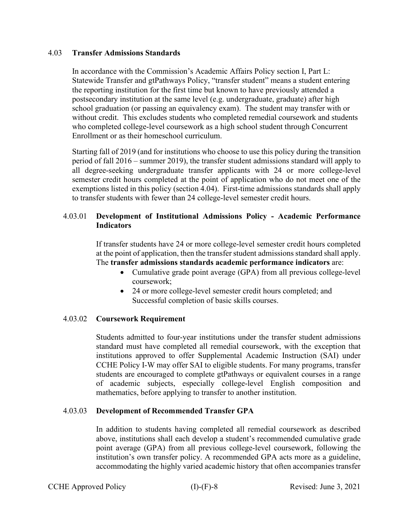#### 4.03 **Transfer Admissions Standards**

In accordance with the Commission's Academic Affairs Policy section I, Part L: Statewide Transfer and gtPathways Policy, "transfer student" means a student entering the reporting institution for the first time but known to have previously attended a postsecondary institution at the same level (e.g. undergraduate, graduate) after high school graduation (or passing an equivalency exam). The student may transfer with or without credit. This excludes students who completed remedial coursework and students who completed college-level coursework as a high school student through Concurrent Enrollment or as their homeschool curriculum.

Starting fall of 2019 (and for institutions who choose to use this policy during the transition period of fall 2016 – summer 2019), the transfer student admissions standard will apply to all degree-seeking undergraduate transfer applicants with 24 or more college-level semester credit hours completed at the point of application who do not meet one of the exemptions listed in this policy (section 4.04). First-time admissions standards shall apply to transfer students with fewer than 24 college-level semester credit hours.

### 4.03.01 **Development of Institutional Admissions Policy - Academic Performance Indicators**

If transfer students have 24 or more college-level semester credit hours completed at the point of application, then the transfer student admissions standard shall apply. The **transfer admissions standards academic performance indicators** are:

- Cumulative grade point average (GPA) from all previous college-level coursework;
- 24 or more college-level semester credit hours completed; and Successful completion of basic skills courses.

### 4.03.02 **Coursework Requirement**

Students admitted to four-year institutions under the transfer student admissions standard must have completed all remedial coursework, with the exception that institutions approved to offer Supplemental Academic Instruction (SAI) under CCHE Policy I-W may offer SAI to eligible students. For many programs, transfer students are encouraged to complete gtPathways or equivalent courses in a range of academic subjects, especially college-level English composition and mathematics, before applying to transfer to another institution.

### 4.03.03 **Development of Recommended Transfer GPA**

In addition to students having completed all remedial coursework as described above, institutions shall each develop a student's recommended cumulative grade point average (GPA) from all previous college-level coursework, following the institution's own transfer policy. A recommended GPA acts more as a guideline, accommodating the highly varied academic history that often accompanies transfer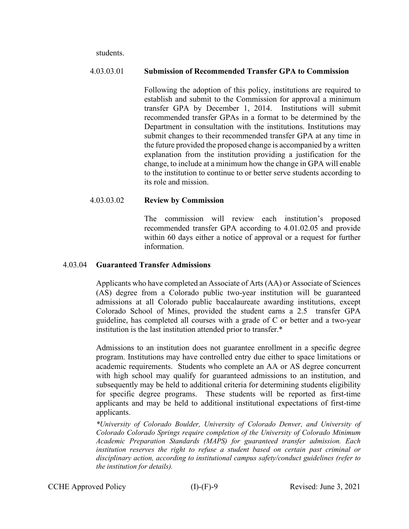students.

#### 4.03.03.01 **Submission of Recommended Transfer GPA to Commission**

Following the adoption of this policy, institutions are required to establish and submit to the Commission for approval a minimum transfer GPA by December 1, 2014. Institutions will submit recommended transfer GPAs in a format to be determined by the Department in consultation with the institutions. Institutions may submit changes to their recommended transfer GPA at any time in the future provided the proposed change is accompanied by a written explanation from the institution providing a justification for the change, to include at a minimum how the change in GPA will enable to the institution to continue to or better serve students according to its role and mission.

### 4.03.03.02 **Review by Commission**

The commission will review each institution's proposed recommended transfer GPA according to 4.01.02.05 and provide within 60 days either a notice of approval or a request for further information.

#### 4.03.04 **Guaranteed Transfer Admissions**

Applicants who have completed an Associate of Arts (AA) or Associate of Sciences (AS) degree from a Colorado public two-year institution will be guaranteed admissions at all Colorado public baccalaureate awarding institutions, except Colorado School of Mines, provided the student earns a 2.5 transfer GPA guideline, has completed all courses with a grade of C or better and a two-year institution is the last institution attended prior to transfer.\*

Admissions to an institution does not guarantee enrollment in a specific degree program. Institutions may have controlled entry due either to space limitations or academic requirements. Students who complete an AA or AS degree concurrent with high school may qualify for guaranteed admissions to an institution, and subsequently may be held to additional criteria for determining students eligibility for specific degree programs. These students will be reported as first-time applicants and may be held to additional institutional expectations of first-time applicants.

*\*University of Colorado Boulder, University of Colorado Denver, and University of Colorado Colorado Springs require completion of the University of Colorado Minimum Academic Preparation Standards (MAPS) for guaranteed transfer admission. Each institution reserves the right to refuse a student based on certain past criminal or disciplinary action, according to institutional campus safety/conduct guidelines (refer to the institution for details).*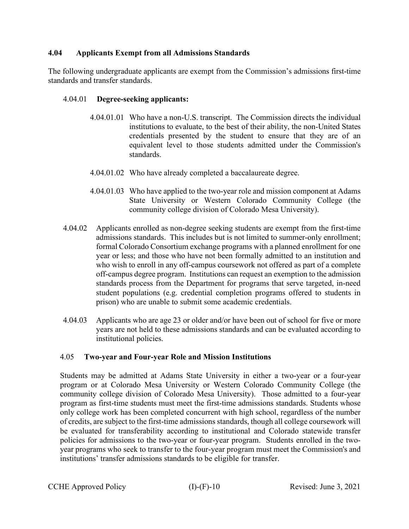## **4.04 Applicants Exempt from all Admissions Standards**

The following undergraduate applicants are exempt from the Commission's admissions first-time standards and transfer standards.

## 4.04.01 **Degree-seeking applicants:**

- 4.04.01.01 Who have a non-U.S. transcript. The Commission directs the individual institutions to evaluate, to the best of their ability, the non-United States credentials presented by the student to ensure that they are of an equivalent level to those students admitted under the Commission's standards.
- 4.04.01.02 Who have already completed a baccalaureate degree.
- 4.04.01.03 Who have applied to the two-year role and mission component at Adams State University or Western Colorado Community College (the community college division of Colorado Mesa University).
- 4.04.02 Applicants enrolled as non-degree seeking students are exempt from the first-time admissions standards. This includes but is not limited to summer-only enrollment; formal Colorado Consortium exchange programs with a planned enrollment for one year or less; and those who have not been formally admitted to an institution and who wish to enroll in any off-campus coursework not offered as part of a complete off-campus degree program. Institutions can request an exemption to the admission standards process from the Department for programs that serve targeted, in-need student populations (e.g. credential completion programs offered to students in prison) who are unable to submit some academic credentials.
- 4.04.03 Applicants who are age 23 or older and/or have been out of school for five or more years are not held to these admissions standards and can be evaluated according to institutional policies.

### 4.05 **Two-year and Four-year Role and Mission Institutions**

Students may be admitted at Adams State University in either a two-year or a four-year program or at Colorado Mesa University or Western Colorado Community College (the community college division of Colorado Mesa University). Those admitted to a four-year program as first-time students must meet the first-time admissions standards. Students whose only college work has been completed concurrent with high school, regardless of the number of credits, are subject to the first-time admissions standards, though all college coursework will be evaluated for transferability according to institutional and Colorado statewide transfer policies for admissions to the two-year or four-year program. Students enrolled in the twoyear programs who seek to transfer to the four-year program must meet the Commission's and institutions' transfer admissions standards to be eligible for transfer.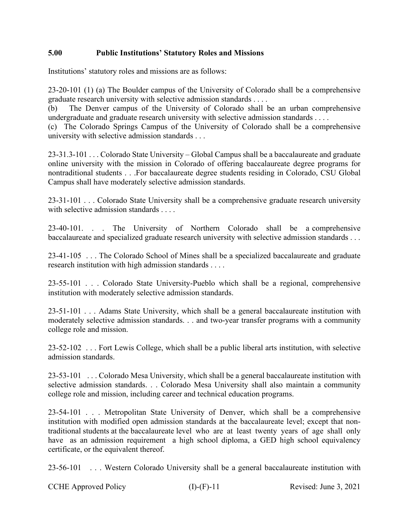# **5.00 Public Institutions' Statutory Roles and Missions**

Institutions' statutory roles and missions are as follows:

23-20-101 (1) (a) The Boulder campus of the University of Colorado shall be a comprehensive graduate research university with selective admission standards . . . .

(b) The Denver campus of the University of Colorado shall be an urban comprehensive undergraduate and graduate research university with selective admission standards . . . .

(c) The Colorado Springs Campus of the University of Colorado shall be a comprehensive university with selective admission standards . . .

23-31.3-101 . . . Colorado State University – Global Campus shall be a baccalaureate and graduate online university with the mission in Colorado of offering baccalaureate degree programs for nontraditional students . . .For baccalaureate degree students residing in Colorado, CSU Global Campus shall have moderately selective admission standards.

23-31-101 . . . Colorado State University shall be a comprehensive graduate research university with selective admission standards . . . .

23-40-101. . . The University of Northern Colorado shall be a comprehensive baccalaureate and specialized graduate research university with selective admission standards . . .

23-41-105 . . . The Colorado School of Mines shall be a specialized baccalaureate and graduate research institution with high admission standards . . . .

23-55-101 . . . Colorado State University-Pueblo which shall be a regional, comprehensive institution with moderately selective admission standards.

23-51-101 . . . Adams State University, which shall be a general baccalaureate institution with moderately selective admission standards. . . and two-year transfer programs with a community college role and mission.

23-52-102 . . . Fort Lewis College, which shall be a public liberal arts institution, with selective admission standards.

23-53-101 . . . Colorado Mesa University, which shall be a general baccalaureate institution with selective admission standards. . . Colorado Mesa University shall also maintain a community college role and mission, including career and technical education programs.

23-54-101 . . . Metropolitan State University of Denver, which shall be a comprehensive institution with modified open admission standards at the baccalaureate level; except that nontraditional students at the baccalaureate level who are at least twenty years of age shall only have as an admission requirement a high school diploma, a GED high school equivalency certificate, or the equivalent thereof.

23-56-101 . . . Western Colorado University shall be a general baccalaureate institution with

CCHE Approved Policy (I)-(F)-11 Revised: June 3, 2021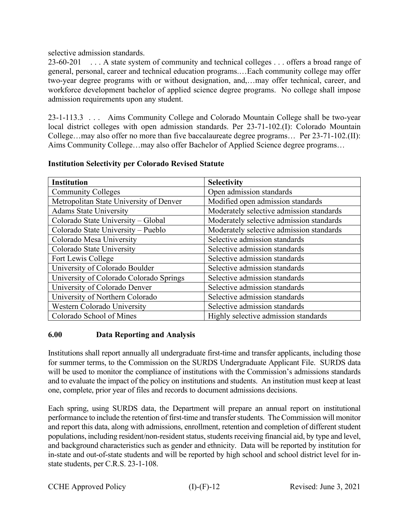# selective admission standards.

23-60-201 . . . A state system of community and technical colleges . . . offers a broad range of general, personal, career and technical education programs.…Each community college may offer two-year degree programs with or without designation, and,…may offer technical, career, and workforce development bachelor of applied science degree programs. No college shall impose admission requirements upon any student.

23-1-113.3 . . . Aims Community College and Colorado Mountain College shall be two-year local district colleges with open admission standards. Per 23-71-102.(I): Colorado Mountain College…may also offer no more than five baccalaureate degree programs… Per 23-71-102.(II): Aims Community College…may also offer Bachelor of Applied Science degree programs…

| <b>Institution</b>                      | <b>Selectivity</b>                       |
|-----------------------------------------|------------------------------------------|
| <b>Community Colleges</b>               | Open admission standards                 |
| Metropolitan State University of Denver | Modified open admission standards        |
| <b>Adams State University</b>           | Moderately selective admission standards |
| Colorado State University - Global      | Moderately selective admission standards |
| Colorado State University - Pueblo      | Moderately selective admission standards |
| Colorado Mesa University                | Selective admission standards            |
| Colorado State University               | Selective admission standards            |
| Fort Lewis College                      | Selective admission standards            |
| University of Colorado Boulder          | Selective admission standards            |
| University of Colorado Colorado Springs | Selective admission standards            |
| University of Colorado Denver           | Selective admission standards            |
| University of Northern Colorado         | Selective admission standards            |
| Western Colorado University             | Selective admission standards            |
| Colorado School of Mines                | Highly selective admission standards     |

### **Institution Selectivity per Colorado Revised Statute**

# **6.00 Data Reporting and Analysis**

Institutions shall report annually all undergraduate first-time and transfer applicants, including those for summer terms, to the Commission on the SURDS Undergraduate Applicant File. SURDS data will be used to monitor the compliance of institutions with the Commission's admissions standards and to evaluate the impact of the policy on institutions and students. An institution must keep at least one, complete, prior year of files and records to document admissions decisions.

Each spring, using SURDS data, the Department will prepare an annual report on institutional performance to include the retention of first-time and transfer students. The Commission will monitor and report this data, along with admissions, enrollment, retention and completion of different student populations, including resident/non-resident status, students receiving financial aid, by type and level, and background characteristics such as gender and ethnicity. Data will be reported by institution for in-state and out-of-state students and will be reported by high school and school district level for instate students, per C.R.S. 23-1-108.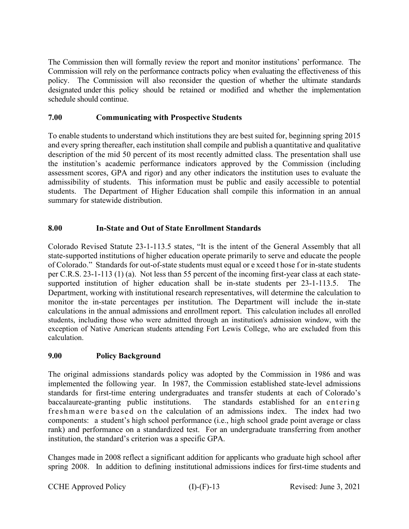The Commission then will formally review the report and monitor institutions' performance. The Commission will rely on the performance contracts policy when evaluating the effectiveness of this policy. The Commission will also reconsider the question of whether the ultimate standards designated under this policy should be retained or modified and whether the implementation schedule should continue.

# **7.00 Communicating with Prospective Students**

To enable students to understand which institutions they are best suited for, beginning spring 2015 and every spring thereafter, each institution shall compile and publish a quantitative and qualitative description of the mid 50 percent of its most recently admitted class. The presentation shall use the institution's academic performance indicators approved by the Commission (including assessment scores, GPA and rigor) and any other indicators the institution uses to evaluate the admissibility of students. This information must be public and easily accessible to potential students. The Department of Higher Education shall compile this information in an annual summary for statewide distribution.

# **8.00 In-State and Out of State Enrollment Standards**

Colorado Revised Statute 23-1-113.5 states, "It is the intent of the General Assembly that all state-supported institutions of higher education operate primarily to serve and educate the people of Colorado." Standards for out-of-state students must equal or e xceed t hose f or in-state students per C.R.S. 23-1-113 (1) (a). Not less than 55 percent of the incoming first-year class at each statesupported institution of higher education shall be in-state students per 23-1-113.5. The Department, working with institutional research representatives, will determine the calculation to monitor the in-state percentages per institution. The Department will include the in-state calculations in the annual admissions and enrollment report. This calculation includes all enrolled students, including those who were admitted through an institution's admission window, with the exception of Native American students attending Fort Lewis College, who are excluded from this calculation.

### **9.00 Policy Background**

The original admissions standards policy was adopted by the Commission in 1986 and was implemented the following year. In 1987, the Commission established state-level admissions standards for first-time entering undergraduates and transfer students at each of Colorado's baccalaureate-granting public institutions. The standards established for an entering freshman were based on the calculation of an admissions index. The index had two components: a student's high school performance (i.e., high school grade point average or class rank) and performance on a standardized test. For an undergraduate transferring from another institution, the standard's criterion was a specific GPA.

Changes made in 2008 reflect a significant addition for applicants who graduate high school after spring 2008. In addition to defining institutional admissions indices for first-time students and

CCHE Approved Policy (I)-(F)-13 Revised: June 3, 2021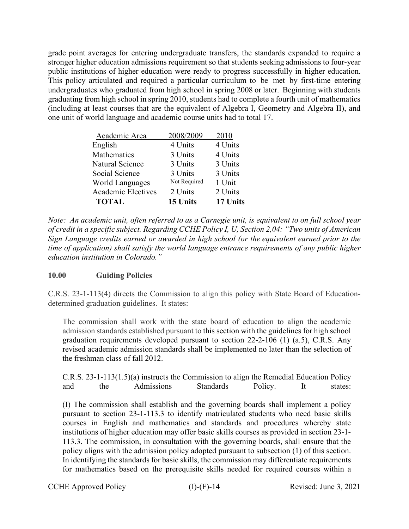grade point averages for entering undergraduate transfers, the standards expanded to require a stronger higher education admissions requirement so that students seeking admissions to four-year public institutions of higher education were ready to progress successfully in higher education. This policy articulated and required a particular curriculum to be met by first-time entering undergraduates who graduated from high school in spring 2008 or later. Beginning with students graduating from high school in spring 2010, students had to complete a fourth unit of mathematics (including at least courses that are the equivalent of Algebra I, Geometry and Algebra II), and one unit of world language and academic course units had to total 17.

| Academic Area             | 2008/2009    | 2010     |
|---------------------------|--------------|----------|
| English                   | 4 Units      | 4 Units  |
| Mathematics               | 3 Units      | 4 Units  |
| Natural Science           | 3 Units      | 3 Units  |
| Social Science            | 3 Units      | 3 Units  |
| <b>World Languages</b>    | Not Required | 1 Unit   |
| <b>Academic Electives</b> | 2 Units      | 2 Units  |
| <b>TOTAL</b>              | 15 Units     | 17 Units |

*Note: An academic unit, often referred to as a Carnegie unit, is equivalent to on full school year of credit in a specific subject. Regarding CCHE Policy I, U, Section 2,04: "Two units of American Sign Language credits earned or awarded in high school (or the equivalent earned prior to the time of application) shall satisfy the world language entrance requirements of any public higher education institution in Colorado."*

# **10.00 Guiding Policies**

C.R.S. 23-1-113(4) directs the Commission to align this policy with State Board of Educationdetermined graduation guidelines. It states:

The commission shall work with the state board of education to align the academic admission standards established pursuant to this section with the guidelines for high school graduation requirements developed pursuant to [section 22-2-106 \(1\) \(a.5\),](http://web.lexisnexis.com/research/buttonTFLink?_m=8f3620ae3a25e6dae834055cdd9a6344&_xfercite=%3ccite%20cc%3d%22USA%22%3e%3c%21%5bCDATA%5bC.R.S.%2023-1-113%5d%5d%3e%3c%2fcite%3e&_butType=4&_butStat=0&_butNum=10&_butInline=1&_butinfo=COCODE%2022-2-106&_fmtstr=FULL&docnum=1&_startdoc=1&wchp=dGLbVzt-zSkAb&_md5=a7424212d9ddc6903b4daf3f2ccb5345) C.R.S. Any revised academic admission standards shall be implemented no later than the selection of the freshman class of fall 2012.

C.R.S. 23-1-113(1.5)(a) instructs the Commission to align the Remedial Education Policy and the Admissions Standards Policy. It states:

(I) The commission shall establish and the governing boards shall implement a policy pursuant to [section 23-1-113.3](http://web.lexisnexis.com/research/buttonTFLink?_m=8f3620ae3a25e6dae834055cdd9a6344&_xfercite=%3ccite%20cc%3d%22USA%22%3e%3c%21%5bCDATA%5bC.R.S.%2023-1-113%5d%5d%3e%3c%2fcite%3e&_butType=4&_butStat=0&_butNum=4&_butInline=1&_butinfo=COCODE%2023-1-113.3&_fmtstr=FULL&docnum=1&_startdoc=1&wchp=dGLbVzt-zSkAb&_md5=59bfec51a57d81c6971d83557128fcc6) to identify matriculated students who need basic skills courses in English and mathematics and standards and procedures whereby state institutions of higher education may offer basic skills courses as provided in [section 23-1-](http://web.lexisnexis.com/research/buttonTFLink?_m=8f3620ae3a25e6dae834055cdd9a6344&_xfercite=%3ccite%20cc%3d%22USA%22%3e%3c%21%5bCDATA%5bC.R.S.%2023-1-113%5d%5d%3e%3c%2fcite%3e&_butType=4&_butStat=0&_butNum=5&_butInline=1&_butinfo=COCODE%2023-1-113.3&_fmtstr=FULL&docnum=1&_startdoc=1&wchp=dGLbVzt-zSkAb&_md5=fffb176e342403cdee55c9c78792d48e) [113.3.](http://web.lexisnexis.com/research/buttonTFLink?_m=8f3620ae3a25e6dae834055cdd9a6344&_xfercite=%3ccite%20cc%3d%22USA%22%3e%3c%21%5bCDATA%5bC.R.S.%2023-1-113%5d%5d%3e%3c%2fcite%3e&_butType=4&_butStat=0&_butNum=5&_butInline=1&_butinfo=COCODE%2023-1-113.3&_fmtstr=FULL&docnum=1&_startdoc=1&wchp=dGLbVzt-zSkAb&_md5=fffb176e342403cdee55c9c78792d48e) The commission, in consultation with the governing boards, shall ensure that the policy aligns with the admission policy adopted pursuant to subsection (1) of this section. In identifying the standards for basic skills, the commission may differentiate requirements for mathematics based on the prerequisite skills needed for required courses within a